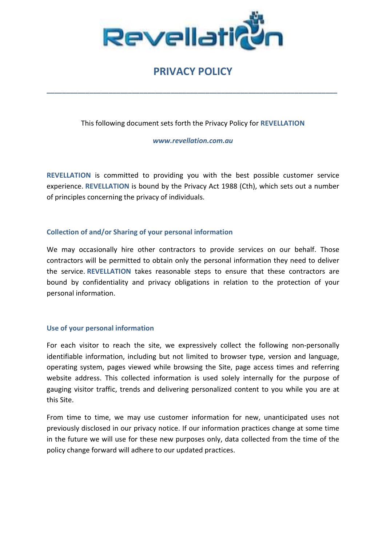

# PRIVACY POLICY

\_\_\_\_\_\_\_\_\_\_\_\_\_\_\_\_\_\_\_\_\_\_\_\_\_\_\_\_\_\_\_\_\_\_\_\_\_\_\_\_\_\_\_\_\_\_\_\_\_\_\_\_\_\_\_\_\_\_\_\_\_\_\_\_\_\_\_\_\_\_\_\_\_\_\_

This following document sets forth the Privacy Policy for REVELLATION

www.revellation.com.au

REVELLATION is committed to providing you with the best possible customer service experience. REVELLATION is bound by the Privacy Act 1988 (Cth), which sets out a number of principles concerning the privacy of individuals.

## Collection of and/or Sharing of your personal information

We may occasionally hire other contractors to provide services on our behalf. Those contractors will be permitted to obtain only the personal information they need to deliver the service. REVELLATION takes reasonable steps to ensure that these contractors are bound by confidentiality and privacy obligations in relation to the protection of your personal information.

## Use of your personal information

For each visitor to reach the site, we expressively collect the following non-personally identifiable information, including but not limited to browser type, version and language, operating system, pages viewed while browsing the Site, page access times and referring website address. This collected information is used solely internally for the purpose of gauging visitor traffic, trends and delivering personalized content to you while you are at this Site.

From time to time, we may use customer information for new, unanticipated uses not previously disclosed in our privacy notice. If our information practices change at some time in the future we will use for these new purposes only, data collected from the time of the policy change forward will adhere to our updated practices.